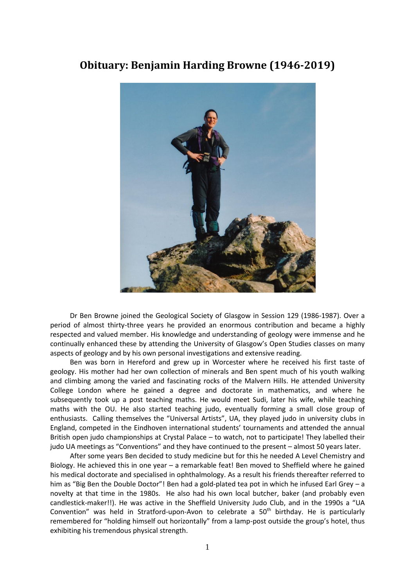## **Obituary: Benjamin Harding Browne (1946-2019)**



Dr Ben Browne joined the Geological Society of Glasgow in Session 129 (1986-1987). Over a period of almost thirty-three years he provided an enormous contribution and became a highly respected and valued member. His knowledge and understanding of geology were immense and he continually enhanced these by attending the University of Glasgow's Open Studies classes on many aspects of geology and by his own personal investigations and extensive reading.

Ben was born in Hereford and grew up in Worcester where he received his first taste of geology. His mother had her own collection of minerals and Ben spent much of his youth walking and climbing among the varied and fascinating rocks of the Malvern Hills. He attended University College London where he gained a degree and doctorate in mathematics, and where he subsequently took up a post teaching maths. He would meet Sudi, later his wife, while teaching maths with the OU. He also started teaching judo, eventually forming a small close group of enthusiasts. Calling themselves the "Universal Artists", UA, they played judo in university clubs in England, competed in the Eindhoven international students' tournaments and attended the annual British open judo championships at Crystal Palace – to watch, not to participate! They labelled their judo UA meetings as "Conventions" and they have continued to the present – almost 50 years later.

After some years Ben decided to study medicine but for this he needed A Level Chemistry and Biology. He achieved this in one year – a remarkable feat! Ben moved to Sheffield where he gained his medical doctorate and specialised in ophthalmology. As a result his friends thereafter referred to him as "Big Ben the Double Doctor"! Ben had a gold-plated tea pot in which he infused Earl Grey - a novelty at that time in the 1980s. He also had his own local butcher, baker (and probably even candlestick-maker!!). He was active in the Sheffield University Judo Club, and in the 1990s a "UA Convention" was held in Stratford-upon-Avon to celebrate a  $50<sup>th</sup>$  birthday. He is particularly remembered for "holding himself out horizontally" from a lamp-post outside the group's hotel, thus exhibiting his tremendous physical strength.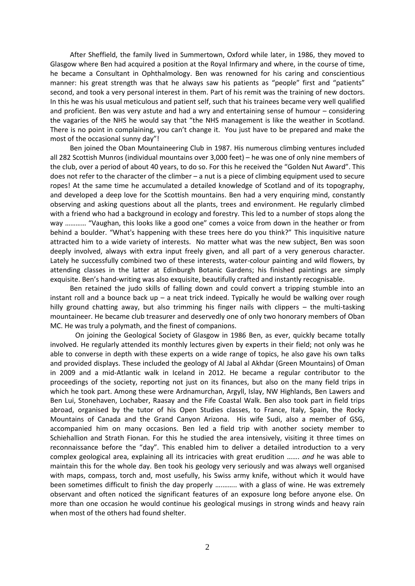After Sheffield, the family lived in Summertown, Oxford while later, in 1986, they moved to Glasgow where Ben had acquired a position at the Royal Infirmary and where, in the course of time, he became a Consultant in Ophthalmology. Ben was renowned for his caring and conscientious manner: his great strength was that he always saw his patients as "people" first and "patients" second, and took a very personal interest in them. Part of his remit was the training of new doctors. In this he was his usual meticulous and patient self, such that his trainees became very well qualified and proficient. Ben was very astute and had a wry and entertaining sense of humour – considering the vagaries of the NHS he would say that "the NHS management is like the weather in Scotland. There is no point in complaining, you can't change it. You just have to be prepared and make the most of the occasional sunny day"!

Ben joined the Oban Mountaineering Club in 1987. His numerous climbing ventures included all 282 Scottish Munros (individual mountains over 3,000 feet) – he was one of only nine members of the club, over a period of about 40 years, to do so. For this he received the "Golden Nut Award". This does not refer to the character of the climber – a nut is a piece of climbing equipment used to secure ropes! At the same time he accumulated a detailed knowledge of Scotland and of its topography, and developed a deep love for the Scottish mountains. Ben had a very enquiring mind, constantly observing and asking questions about all the plants, trees and environment. He regularly climbed with a friend who had a background in ecology and forestry. This led to a number of stops along the way ………… "Vaughan, this looks like a good one" comes a voice from down in the heather or from behind a boulder. "What's happening with these trees here do you think?" This inquisitive nature attracted him to a wide variety of interests. No matter what was the new subject, Ben was soon deeply involved, always with extra input freely given, and all part of a very generous character. Lately he successfully combined two of these interests, water-colour painting and wild flowers, by attending classes in the latter at Edinburgh Botanic Gardens; his finished paintings are simply exquisite. Ben's hand-writing was also exquisite, beautifully crafted and instantly recognisable.

Ben retained the judo skills of falling down and could convert a tripping stumble into an instant roll and a bounce back up  $-$  a neat trick indeed. Typically he would be walking over rough hilly ground chatting away, but also trimming his finger nails with clippers – the multi-tasking mountaineer. He became club treasurer and deservedly one of only two honorary members of Oban MC. He was truly a polymath, and the finest of companions.

On joining the Geological Society of Glasgow in 1986 Ben, as ever, quickly became totally involved. He regularly attended its monthly lectures given by experts in their field; not only was he able to converse in depth with these experts on a wide range of topics, he also gave his own talks and provided displays. These included the geology of Al Jabal al Akhdar (Green Mountains) of Oman in 2009 and a mid-Atlantic walk in Iceland in 2012. He became a regular contributor to the proceedings of the society, reporting not just on its finances, but also on the many field trips in which he took part. Among these were Ardnamurchan, Argyll, Islay, NW Highlands, Ben Lawers and Ben Lui, Stonehaven, Lochaber, Raasay and the Fife Coastal Walk. Ben also took part in field trips abroad, organised by the tutor of his Open Studies classes, to France, Italy, Spain, the Rocky Mountains of Canada and the Grand Canyon Arizona. His wife Sudi, also a member of GSG, accompanied him on many occasions. Ben led a field trip with another society member to Schiehallion and Strath Fionan. For this he studied the area intensively, visiting it three times on reconnaissance before the "day". This enabled him to deliver a detailed introduction to a very complex geological area, explaining all its intricacies with great erudition ……. *and* he was able to maintain this for the whole day. Ben took his geology very seriously and was always well organised with maps, compass, torch and, most usefully, his Swiss army knife, without which it would have been sometimes difficult to finish the day properly ….…….. with a glass of wine. He was extremely observant and often noticed the significant features of an exposure long before anyone else. On more than one occasion he would continue his geological musings in strong winds and heavy rain when most of the others had found shelter.